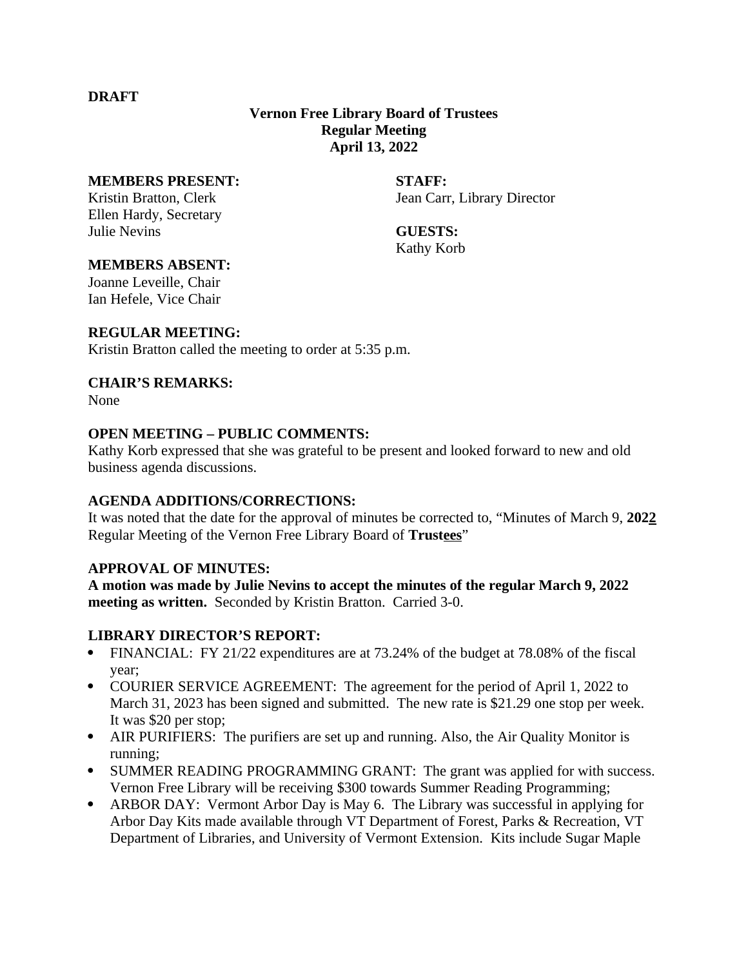#### **DRAFT**

# **Vernon Free Library Board of Trustees Regular Meeting April 13, 2022**

#### **MEMBERS PRESENT: STAFF:**

Ellen Hardy, Secretary Julie Nevins **GUESTS:**

Kristin Bratton, Clerk **International Carristin Bratton, Clerk** Jean Carr, Library Director

Kathy Korb

#### **MEMBERS ABSENT:**

Joanne Leveille, Chair Ian Hefele, Vice Chair

## **REGULAR MEETING:**

Kristin Bratton called the meeting to order at 5:35 p.m.

#### **CHAIR'S REMARKS:**

None

#### **OPEN MEETING – PUBLIC COMMENTS:**

Kathy Korb expressed that she was grateful to be present and looked forward to new and old business agenda discussions.

## **AGENDA ADDITIONS/CORRECTIONS:**

It was noted that the date for the approval of minutes be corrected to, "Minutes of March 9, **2022** Regular Meeting of the Vernon Free Library Board of **Trustees**"

## **APPROVAL OF MINUTES:**

**A motion was made by Julie Nevins to accept the minutes of the regular March 9, 2022 meeting as written.** Seconded by Kristin Bratton. Carried 3-0.

## **LIBRARY DIRECTOR'S REPORT:**

- FINANCIAL: FY 21/22 expenditures are at 73.24% of the budget at 78.08% of the fiscal year;
- COURIER SERVICE AGREEMENT: The agreement for the period of April 1, 2022 to March 31, 2023 has been signed and submitted. The new rate is \$21.29 one stop per week. It was \$20 per stop;
- AIR PURIFIERS: The purifiers are set up and running. Also, the Air Quality Monitor is running;
- SUMMER READING PROGRAMMING GRANT: The grant was applied for with success. Vernon Free Library will be receiving \$300 towards Summer Reading Programming;
- ARBOR DAY: Vermont Arbor Day is May 6. The Library was successful in applying for Arbor Day Kits made available through VT Department of Forest, Parks & Recreation, VT Department of Libraries, and University of Vermont Extension. Kits include Sugar Maple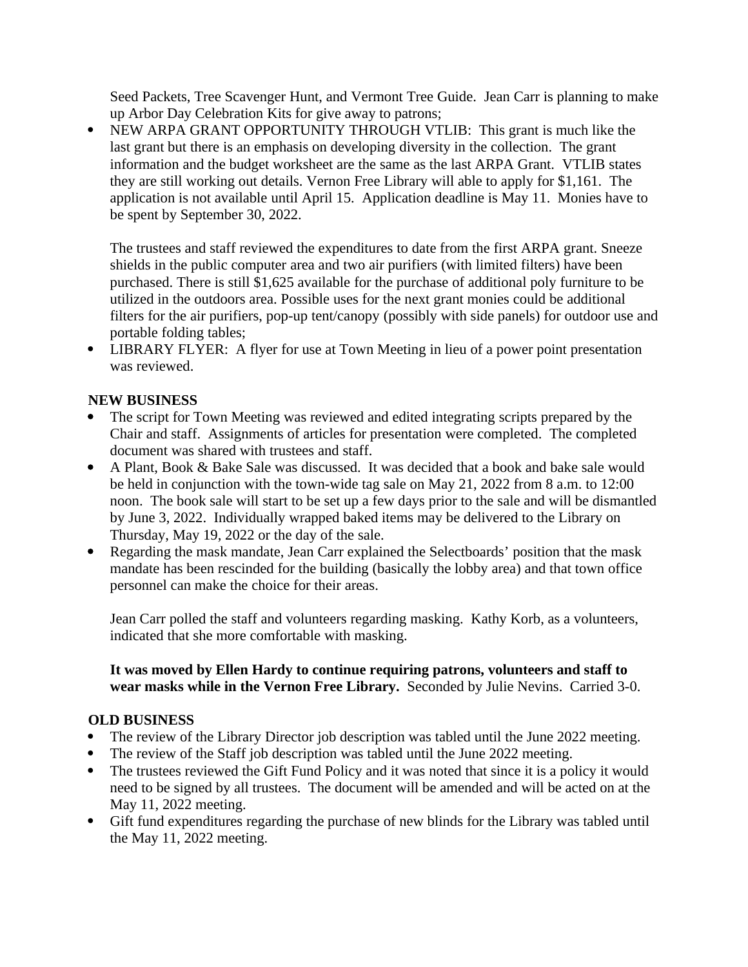Seed Packets, Tree Scavenger Hunt, and Vermont Tree Guide. Jean Carr is planning to make up Arbor Day Celebration Kits for give away to patrons;

• NEW ARPA GRANT OPPORTUNITY THROUGH VTLIB: This grant is much like the last grant but there is an emphasis on developing diversity in the collection. The grant information and the budget worksheet are the same as the last ARPA Grant. VTLIB states they are still working out details. Vernon Free Library will able to apply for \$1,161. The application is not available until April 15. Application deadline is May 11. Monies have to be spent by September 30, 2022.

The trustees and staff reviewed the expenditures to date from the first ARPA grant. Sneeze shields in the public computer area and two air purifiers (with limited filters) have been purchased. There is still \$1,625 available for the purchase of additional poly furniture to be utilized in the outdoors area. Possible uses for the next grant monies could be additional filters for the air purifiers, pop-up tent/canopy (possibly with side panels) for outdoor use and portable folding tables;

 LIBRARY FLYER: A flyer for use at Town Meeting in lieu of a power point presentation was reviewed.

# **NEW BUSINESS**

- The script for Town Meeting was reviewed and edited integrating scripts prepared by the Chair and staff. Assignments of articles for presentation were completed. The completed document was shared with trustees and staff.
- A Plant, Book & Bake Sale was discussed. It was decided that a book and bake sale would be held in conjunction with the town-wide tag sale on May 21, 2022 from 8 a.m. to 12:00 noon. The book sale will start to be set up a few days prior to the sale and will be dismantled by June 3, 2022. Individually wrapped baked items may be delivered to the Library on Thursday, May 19, 2022 or the day of the sale.
- Regarding the mask mandate, Jean Carr explained the Selectboards' position that the mask mandate has been rescinded for the building (basically the lobby area) and that town office personnel can make the choice for their areas.

Jean Carr polled the staff and volunteers regarding masking. Kathy Korb, as a volunteers, indicated that she more comfortable with masking.

## **It was moved by Ellen Hardy to continue requiring patrons, volunteers and staff to wear masks while in the Vernon Free Library.** Seconded by Julie Nevins. Carried 3-0.

## **OLD BUSINESS**

- The review of the Library Director job description was tabled until the June 2022 meeting.
- The review of the Staff job description was tabled until the June 2022 meeting.
- The trustees reviewed the Gift Fund Policy and it was noted that since it is a policy it would need to be signed by all trustees. The document will be amended and will be acted on at the May 11, 2022 meeting.
- Gift fund expenditures regarding the purchase of new blinds for the Library was tabled until the May 11, 2022 meeting.